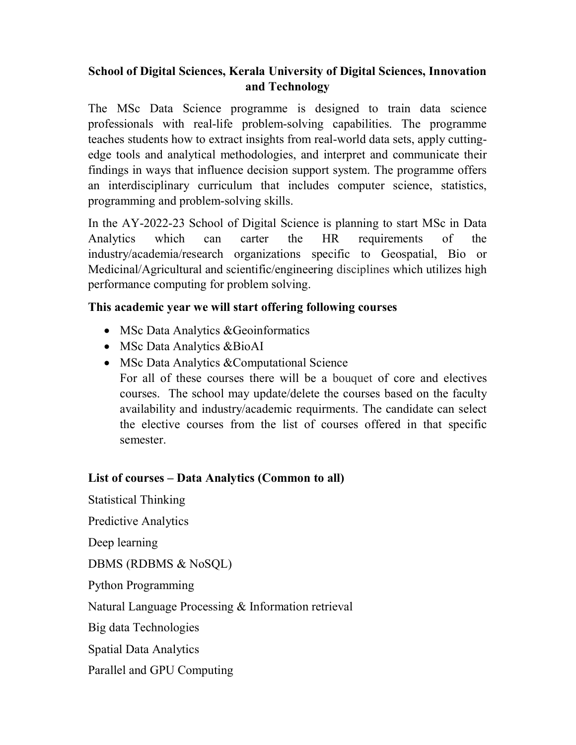# School of Digital Sciences, Kerala University of Digital Sciences, Innovation and Technology

The MSc Data Science programme is designed to train data science professionals with real-life problem-solving capabilities. The programme teaches students how to extract insights from real-world data sets, apply cuttingedge tools and analytical methodologies, and interpret and communicate their findings in ways that influence decision support system. The programme offers an interdisciplinary curriculum that includes computer science, statistics, programming and problem-solving skills.

In the AY-2022-23 School of Digital Science is planning to start MSc in Data Analytics which can carter the HR requirements of the industry/academia/research organizations specific to Geospatial, Bio or Medicinal/Agricultural and scientific/engineering disciplines which utilizes high performance computing for problem solving.

### This academic year we will start offering following courses

- MSc Data Analytics & Geoinformatics
- MSc Data Analytics &BioAI
- MSc Data Analytics & Computational Science For all of these courses there will be a bouquet of core and electives courses. The school may update/delete the courses based on the faculty availability and industry/academic requirments. The candidate can select the elective courses from the list of courses offered in that specific semester.

## List of courses – Data Analytics (Common to all)

Statistical Thinking Predictive Analytics Deep learning DBMS (RDBMS & NoSQL) Python Programming Natural Language Processing & Information retrieval Big data Technologies Spatial Data Analytics Parallel and GPU Computing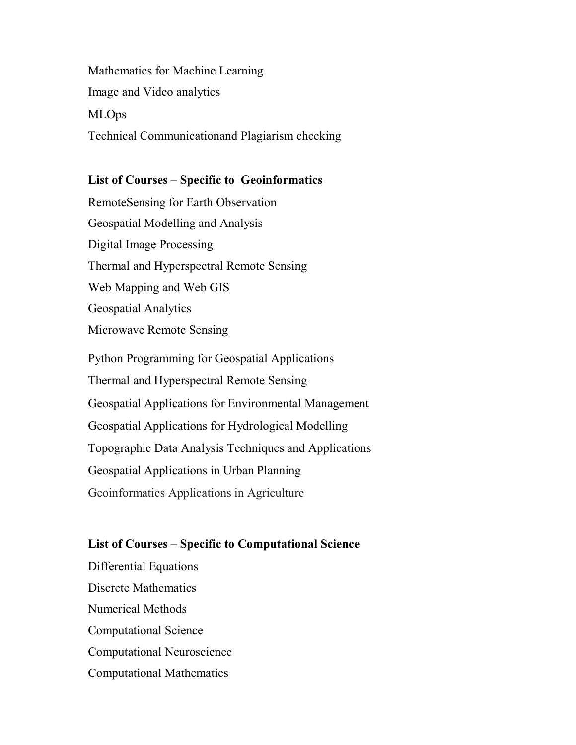Mathematics for Machine Learning Image and Video analytics MLOps Technical Communicationand Plagiarism checking

#### List of Courses – Specific to Geoinformatics

RemoteSensing for Earth Observation Geospatial Modelling and Analysis Digital Image Processing Thermal and Hyperspectral Remote Sensing Web Mapping and Web GIS Geospatial Analytics Microwave Remote Sensing

Python Programming for Geospatial Applications Thermal and Hyperspectral Remote Sensing Geospatial Applications for Environmental Management Geospatial Applications for Hydrological Modelling Topographic Data Analysis Techniques and Applications Geospatial Applications in Urban Planning Geoinformatics Applications in Agriculture

#### List of Courses – Specific to Computational Science

Differential Equations Discrete Mathematics Numerical Methods Computational Science Computational Neuroscience Computational Mathematics